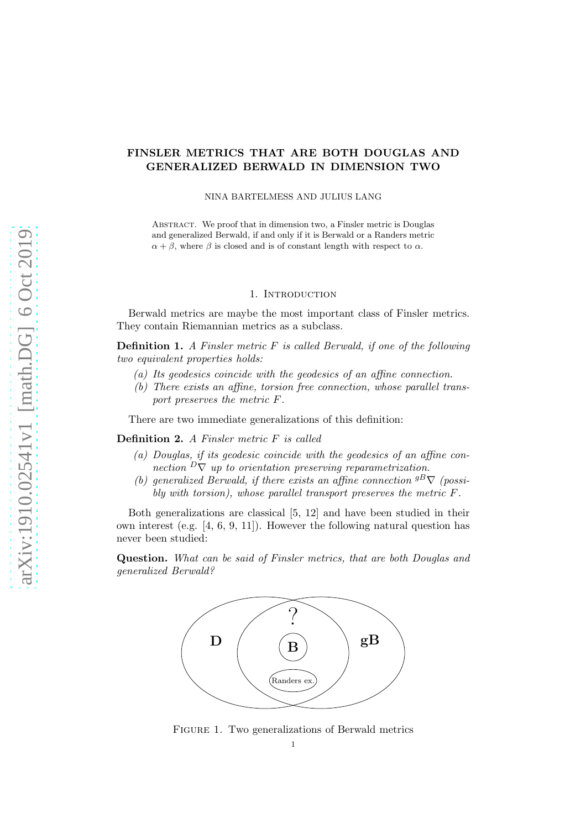# FINSLER METRICS THAT ARE BOTH DOUGLAS AND GENERALIZED BERWALD IN DIMENSION TWO

### NINA BARTELMESS AND JULIUS LANG

Abstract. We proof that in dimension two, a Finsler metric is Douglas and generalized Berwald, if and only if it is Berwald or a Randers metric  $\alpha + \beta$ , where  $\beta$  is closed and is of constant length with respect to  $\alpha$ .

### 1. INTRODUCTION

Berwald metrics are maybe the most important class of Finsler metrics. They contain Riemannian metrics as a subclass.

**Definition 1.** A Finsler metric  $F$  is called Berwald, if one of the following two equivalent properties holds:

- (a) Its geodesics coincide with the geodesics of an affine connection.
- (b) There exists an affine, torsion free connection, whose parallel transport preserves the metric F.

There are two immediate generalizations of this definition:

Definition 2. A Finsler metric F is called

- (a) Douglas, if its geodesic coincide with the geodesics of an affine connection  $D\nabla$  up to orientation preserving reparametrization.
- (b) generalized Berwald, if there exists an affine connection  ${}^{gB}\nabla$  (possibly with torsion), whose parallel transport preserves the metric F.

Both generalizations are classical [\[5,](#page-7-0) [12\]](#page-8-0) and have been studied in their own interest (e.g. [\[4,](#page-7-1) [6,](#page-8-1) [9,](#page-8-2) [11\]](#page-8-3)). However the following natural question has never been studied:

Question. What can be said of Finsler metrics, that are both Douglas and generalized Berwald?



Figure 1. Two generalizations of Berwald metrics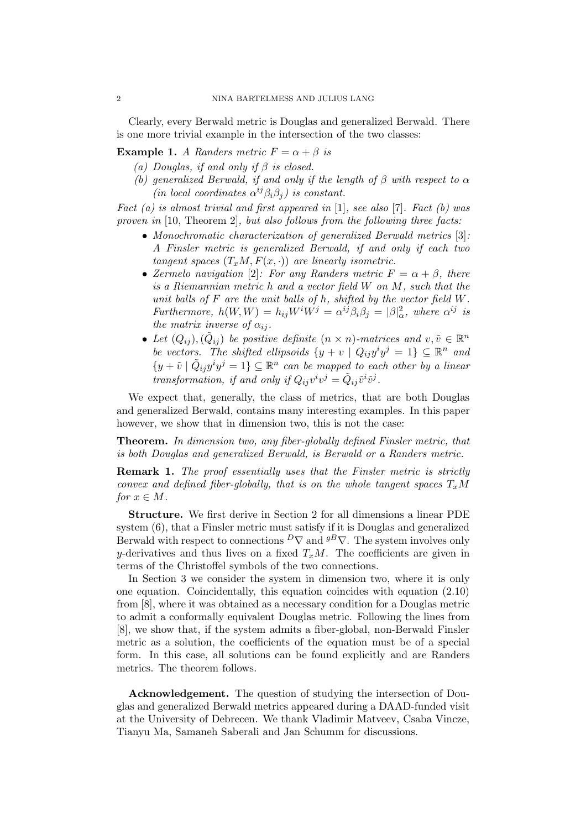Clearly, every Berwald metric is Douglas and generalized Berwald. There is one more trivial example in the intersection of the two classes:

<span id="page-1-1"></span><span id="page-1-0"></span>**Example 1.** A Randers metric  $F = \alpha + \beta$  is

- (a) Douglas, if and only if  $\beta$  is closed.
- (b) generalized Berwald, if and only if the length of  $\beta$  with respect to  $\alpha$ (in local coordinates  $\alpha^{ij}\beta_i\beta_j$ ) is constant.

Fact  $(a)$  is almost trivial and first appeared in [\[1\]](#page-7-2), see also [\[7\]](#page-8-4). Fact  $(b)$  was proven in [\[10,](#page-8-5) Theorem 2], but also follows from the following three facts:

- Monochromatic characterization of generalized Berwald metrics [\[3\]](#page-7-3): A Finsler metric is generalized Berwald, if and only if each two tangent spaces  $(T_xM, F(x, \cdot))$  are linearly isometric.
- Zermelo navigation [\[2\]](#page-7-4): For any Randers metric  $F = \alpha + \beta$ , there is a Riemannian metric h and a vector field W on M, such that the unit balls of  $F$  are the unit balls of  $h$ , shifted by the vector field  $W$ . Furthermore,  $h(W, W) = h_{ij}W^iW^j = \alpha^{ij}\beta_i\beta_j = |\beta|_{\alpha}^2$ , where  $\alpha^{ij}$  is the matrix inverse of  $\alpha_{ij}$ .
- Let  $(Q_{ij}), (\tilde{Q}_{ij})$  be positive definite  $(n \times n)$ -matrices and  $v, \tilde{v} \in \mathbb{R}^n$ be vectors. The shifted ellipsoids  $\{y + v \mid Q_{ij}y^iy^j = 1\} \subseteq \mathbb{R}^n$  and  $\{y + \tilde{v} \mid \tilde{Q}_{ij}y^i y^j = 1\} \subseteq \mathbb{R}^n$  can be mapped to each other by a linear transformation, if and only if  $Q_{ij}v^iv^j = \tilde{Q}_{ij}\tilde{v}^i\tilde{v}^j$ .

We expect that, generally, the class of metrics, that are both Douglas and generalized Berwald, contains many interesting examples. In this paper however, we show that in dimension two, this is not the case:

Theorem. In dimension two, any fiber-globally defined Finsler metric, that is both Douglas and generalized Berwald, is Berwald or a Randers metric.

**Remark 1.** The proof essentially uses that the Finsler metric is strictly convex and defined fiber-globally, that is on the whole tangent spaces  $T_xM$ for  $x \in M$ .

Structure. We first derive in Section [2](#page-2-0) for all dimensions a linear PDE system [\(6\)](#page-3-0), that a Finsler metric must satisfy if it is Douglas and generalized Berwald with respect to connections  $D\nabla$  and  $gB\nabla$ . The system involves only y-derivatives and thus lives on a fixed  $T_xM$ . The coefficients are given in terms of the Christoffel symbols of the two connections.

In Section [3](#page-4-0) we consider the system in dimension two, where it is only one equation. Coincidentally, this equation coincides with equation (2.10) from [\[8\]](#page-8-6), where it was obtained as a necessary condition for a Douglas metric to admit a conformally equivalent Douglas metric. Following the lines from [\[8\]](#page-8-6), we show that, if the system admits a fiber-global, non-Berwald Finsler metric as a solution, the coefficients of the equation must be of a special form. In this case, all solutions can be found explicitly and are Randers metrics. The theorem follows.

Acknowledgement. The question of studying the intersection of Douglas and generalized Berwald metrics appeared during a DAAD-funded visit at the University of Debrecen. We thank Vladimir Matveev, Csaba Vincze, Tianyu Ma, Samaneh Saberali and Jan Schumm for discussions.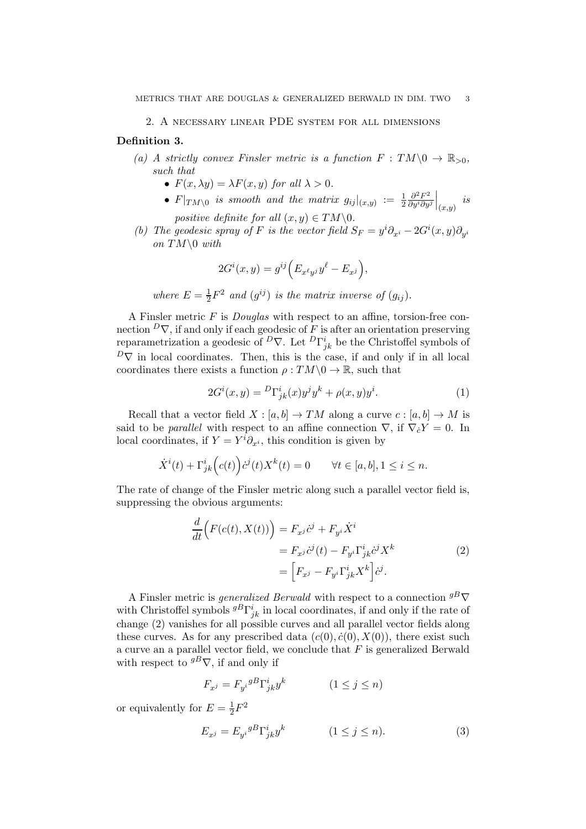### 2. A necessary linear PDE system for all dimensions

## <span id="page-2-0"></span>Definition 3.

- (a) A strictly convex Finsler metric is a function  $F: TM \setminus 0 \to \mathbb{R}_{>0}$ , such that
	- $F(x, \lambda y) = \lambda F(x, y)$  for all  $\lambda > 0$ .
	- $F|_{TM\setminus 0}$  is smooth and the matrix  $g_{ij}|_{(x,y)} := \frac{1}{2}$  $\partial^2 F^2$ ∂yi∂y<sup>j</sup>  $\Big|_{(x,y)}$  is

positive definite for all  $(x, y) \in TM \backslash 0$ .

(b) The geodesic spray of F is the vector field  $S_F = y^i \partial_{x^i} - 2G^i(x, y) \partial_{y^i}$ on  $TM\setminus 0$  with

$$
2G^{i}(x,y) = g^{ij}\Big(E_{x^{\ell}y^j}y^{\ell} - E_{x^j}\Big),\,
$$

where  $E=\frac{1}{2}$  $\frac{1}{2}F^2$  and  $(g^{ij})$  is the matrix inverse of  $(g_{ij})$ .

A Finsler metric F is Douglas with respect to an affine, torsion-free connection  $\overline{D}\nabla$ , if and only if each geodesic of F is after an orientation preserving reparametrization a geodesic of  $\overline{D}_{\nabla}$ . Let  $\overline{D}_{jk}^i$  be the Christoffel symbols of  $D\nabla$  in local coordinates. Then, this is the case, if and only if in all local coordinates there exists a function  $\rho: TM \backslash 0 \to \mathbb{R}$ , such that

<span id="page-2-3"></span>
$$
2G^{i}(x,y) = {}^{D}\Gamma^{i}_{jk}(x)y^{j}y^{k} + \rho(x,y)y^{i}.
$$
 (1)

Recall that a vector field  $X : [a, b] \to TM$  along a curve  $c : [a, b] \to M$  is said to be *parallel* with respect to an affine connection  $\nabla$ , if  $\nabla_{\dot{c}} Y = 0$ . In local coordinates, if  $Y = Y^i \partial_{x^i}$ , this condition is given by

$$
\dot{X}^i(t) + \Gamma^i_{jk}\Big(c(t)\Big)\dot{c}^j(t)X^k(t) = 0 \qquad \forall t \in [a, b], 1 \le i \le n.
$$

The rate of change of the Finsler metric along such a parallel vector field is, suppressing the obvious arguments:

<span id="page-2-1"></span>
$$
\frac{d}{dt}\Big(F(c(t),X(t))\Big) = F_{x^j}\dot{c}^j + F_{y^i}\dot{X}^i
$$
\n
$$
= F_{x^j}\dot{c}^j(t) - F_{y^i}\Gamma^i_{jk}\dot{c}^jX^k
$$
\n
$$
= \Big[F_{x^j} - F_{y^i}\Gamma^i_{jk}X^k\Big]\dot{c}^j.
$$
\n(2)

A Finsler metric is *generalized Berwald* with respect to a connection  ${}^{g}B$  $\nabla$ with Christoffel symbols  ${}^{gB}\Gamma^i_{jk}$  in local coordinates, if and only if the rate of change [\(2\)](#page-2-1) vanishes for all possible curves and all parallel vector fields along these curves. As for any prescribed data  $(c(0), \dot{c}(0), X(0))$ , there exist such a curve an a parallel vector field, we conclude that  $F$  is generalized Berwald with respect to  ${}^{g}B\nabla$ , if and only if

$$
F_{x^j} = F_{y^i}{}^{g}{}^{B} \Gamma^i_{jk} y^k \qquad (1 \le j \le n)
$$

or equivalently for  $E = \frac{1}{2}F^2$ 

<span id="page-2-2"></span>
$$
E_{x^j} = E_{y^i}{}^{g} \Gamma^i_{jk} y^k \qquad (1 \le j \le n). \tag{3}
$$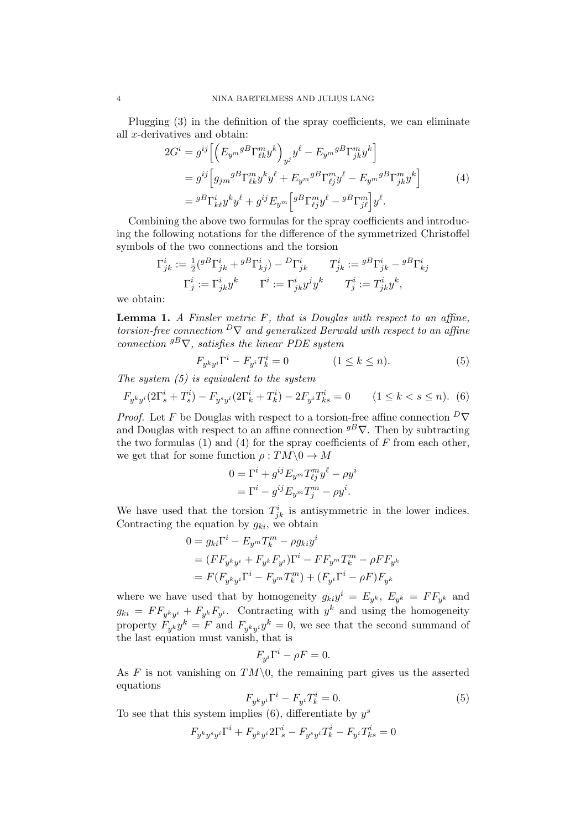Plugging [\(3\)](#page-2-2) in the definition of the spray coefficients, we can eliminate all x-derivatives and obtain:

<span id="page-3-2"></span>
$$
2G^{i} = g^{ij} \left[ \left( E_{y^{m}}{}^{g}{}^{B} \Gamma_{\ell k}^{m}{}^{y}{}^{k} \right)_{y^{j}} y^{\ell} - E_{y^{m}}{}^{g}{}^{B} \Gamma_{jk}^{m}{}^{y}{}^{k} \right]
$$
  
\n
$$
= g^{ij} \left[ g_{jm}{}^{g}{}^{B} \Gamma_{\ell k}^{m}{}^{y}{}^{k} y^{\ell} + E_{y^{m}}{}^{g}{}^{B} \Gamma_{\ell j}^{m}{}^{y}{}^{\ell} - E_{y^{m}}{}^{g}{}^{B} \Gamma_{jk}^{m}{}^{y}{}^{k} \right]
$$
  
\n
$$
= {}^{g}{}^{B} \Gamma_{k\ell}^{i}{}^{y}{}^{k} y^{\ell} + g^{ij} E_{y^{m}} \left[ {}^{g}{}^{B} \Gamma_{\ell j}^{m}{}^{y}{}^{\ell} - {}^{g}{}^{B} \Gamma_{j\ell}^{m}{} \right] y^{\ell}. \tag{4}
$$

Combining the above two formulas for the spray coefficients and introducing the following notations for the difference of the symmetrized Christoffel symbols of the two connections and the torsion

$$
\Gamma^i_{jk} := \frac{1}{2} ({}^{gB}\Gamma^i_{jk} + {}^{gB}\Gamma^i_{kj}) - {}^{D}\Gamma^i_{jk} \qquad T^i_{jk} := {}^{gB}\Gamma^i_{jk} - {}^{gB}\Gamma^i_{kj}
$$

$$
\Gamma^i_j := \Gamma^i_{jk} y^k \qquad \Gamma^i := \Gamma^i_{jk} y^j y^k \qquad T^i_j := T^i_{jk} y^k,
$$

we obtain:

<span id="page-3-3"></span>**Lemma 1.** A Finsler metric  $F$ , that is Douglas with respect to an affine, torsion-free connection  $\mathbb{P}\nabla$  and generalized Berwald with respect to an affine connection  $g^B \nabla$ , satisfies the linear PDE system

<span id="page-3-1"></span>
$$
F_{y^k y^i} \Gamma^i - F_{y^i} T_k^i = 0 \qquad (1 \le k \le n). \tag{5}
$$

The system  $(5)$  is equivalent to the system

<span id="page-3-0"></span>
$$
F_{y^k y^i} (2\Gamma_s^i + T_s^i) - F_{y^s y^i} (2\Gamma_k^i + T_k^i) - 2F_{y^i} T_{ks}^i = 0 \qquad (1 \le k < s \le n). \tag{6}
$$

*Proof.* Let F be Douglas with respect to a torsion-free affine connection  $\overline{D}\nabla$ and Douglas with respect to an affine connection  $g^B \nabla$ . Then by subtracting the two formulas  $(1)$  and  $(4)$  for the spray coefficients of F from each other, we get that for some function  $\rho: TM \backslash 0 \to M$ 

$$
0 = \Gamma^i + g^{ij} E_{y^m} T_{\ell j}^m y^\ell - \rho y^i
$$
  
= 
$$
\Gamma^i - g^{ij} E_{y^m} T_j^m - \rho y^i.
$$

We have used that the torsion  $T_{jk}^i$  is antisymmetric in the lower indices. Contracting the equation by  $g_{ki}$ , we obtain

$$
0 = g_{ki}\Gamma^i - E_{y^m}T_k^m - \rho g_{ki}y^i
$$
  
=  $(F F_{y^k y^i} + F_{y^k}F_{y^i})\Gamma^i - F F_{y^m}T_k^m - \rho F F_{y^k}$   
=  $F(F_{y^k y^i}\Gamma^i - F_{y^m}T_k^m) + (F_{y^i}\Gamma^i - \rho F)F_{y^k}$ 

where we have used that by homogeneity  $g_{ki}y^i = E_{y^k}, E_{y^k} = FF_{y^k}$  and  $g_{ki} = FF_{y^ky^i} + F_{y^k}F_{y^i}$ . Contracting with  $y^k$  and using the homogeneity property  $F_{y^k}y^k = F$  and  $F_{y^ky^i}y^k = 0$ , we see that the second summand of the last equation must vanish, that is

$$
F_{y^i}\Gamma^i - \rho F = 0.
$$

As  $F$  is not vanishing on  $TM\setminus 0$ , the remaining part gives us the asserted equations

$$
F_{y^k y^i} \Gamma^i - F_{y^i} T_k^i = 0.
$$
\n<sup>(5)</sup>

To see that this system implies  $(6)$ , differentiate by  $y^s$ 

$$
F_{y^ky^sy^i}\Gamma^i + F_{y^ky^i}2\Gamma^i_s - F_{y^sy^i}T^i_k - F_{y^i}T^i_{ks} = 0
$$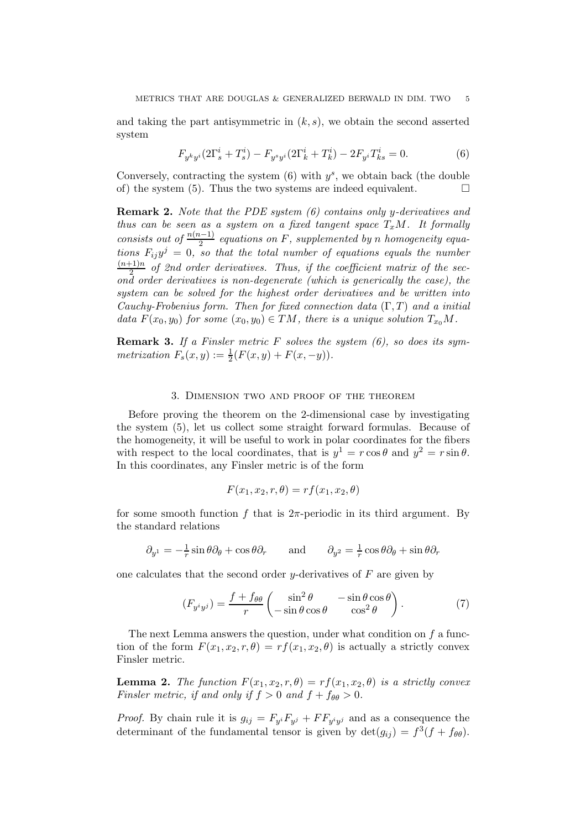and taking the part antisymmetric in  $(k, s)$ , we obtain the second asserted system

$$
F_{y^k y^i} (2\Gamma_s^i + T_s^i) - F_{y^s y^i} (2\Gamma_k^i + T_k^i) - 2F_{y^i} T_{ks}^i = 0.
$$
 (6)

Conversely, contracting the system  $(6)$  with  $y<sup>s</sup>$ , we obtain back (the double of) the system [\(5\)](#page-3-1). Thus the two systems are indeed equivalent.  $\Box$ 

**Remark 2.** Note that the PDE system  $(6)$  contains only y-derivatives and thus can be seen as a system on a fixed tangent space  $T_xM$ . It formally consists out of  $\frac{n(n-1)}{2}$  equations on F, supplemented by n homogeneity equations  $F_{ij}y^j = 0$ , so that the total number of equations equals the number  $(n+1)n$  $\frac{1}{2}$  of 2nd order derivatives. Thus, if the coefficient matrix of the second order derivatives is non-degenerate (which is generically the case), the system can be solved for the highest order derivatives and be written into Cauchy-Frobenius form. Then for fixed connection data  $(\Gamma, T)$  and a initial data  $F(x_0, y_0)$  for some  $(x_0, y_0) \in TM$ , there is a unique solution  $T_{x_0}M$ .

<span id="page-4-2"></span>**Remark 3.** If a Finsler metric F solves the system  $(6)$ , so does its symmetrization  $F_s(x, y) := \frac{1}{2}(F(x, y) + F(x, -y)).$ 

### 3. Dimension two and proof of the theorem

<span id="page-4-0"></span>Before proving the theorem on the 2-dimensional case by investigating the system [\(5\)](#page-3-1), let us collect some straight forward formulas. Because of the homogeneity, it will be useful to work in polar coordinates for the fibers with respect to the local coordinates, that is  $y^1 = r \cos \theta$  and  $y^2 = r \sin \theta$ . In this coordinates, any Finsler metric is of the form

$$
F(x_1, x_2, r, \theta) = rf(x_1, x_2, \theta)
$$

for some smooth function f that is  $2\pi$ -periodic in its third argument. By the standard relations

$$
\partial_{y^1} = -\frac{1}{r}\sin\theta\partial_\theta + \cos\theta\partial_r \qquad \text{and} \qquad \partial_{y^2} = \frac{1}{r}\cos\theta\partial_\theta + \sin\theta\partial_r
$$

one calculates that the second order y-derivatives of  $F$  are given by

<span id="page-4-1"></span>
$$
(F_{y^i y^j}) = \frac{f + f_{\theta\theta}}{r} \begin{pmatrix} \sin^2 \theta & -\sin \theta \cos \theta \\ -\sin \theta \cos \theta & \cos^2 \theta \end{pmatrix}.
$$
 (7)

The next Lemma answers the question, under what condition on f a function of the form  $F(x_1, x_2, r, \theta) = rf(x_1, x_2, \theta)$  is actually a strictly convex Finsler metric.

<span id="page-4-3"></span>**Lemma 2.** The function  $F(x_1, x_2, r, \theta) = rf(x_1, x_2, \theta)$  is a strictly convex Finsler metric, if and only if  $f > 0$  and  $f + f_{\theta\theta} > 0$ .

*Proof.* By chain rule it is  $g_{ij} = F_{y}F_{y} + FF_{y}$  and as a consequence the determinant of the fundamental tensor is given by  $\det(g_{ij}) = f^3(f + f_{\theta\theta})$ .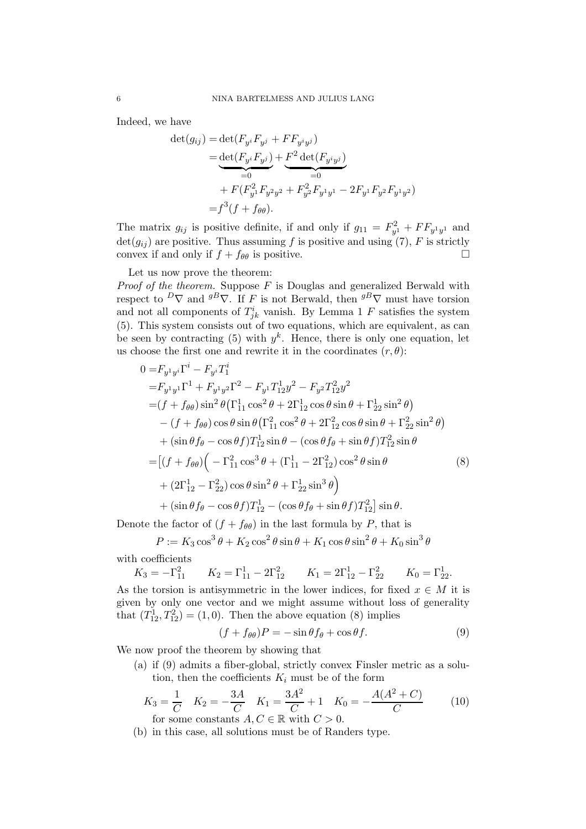Indeed, we have

$$
\det(g_{ij}) = \det(F_{y^i} F_{y^j} + F F_{y^i y^j})
$$
  
= 
$$
\underbrace{\det(F_{y^i} F_{y^j})}_{=0} + F^2 \det(F_{y^i y^j})
$$
  
+ 
$$
F(F_{y^1}^2 F_{y^2 y^2} + F_{y^2}^2 F_{y^1 y^1} - 2F_{y^1} F_{y^2} F_{y^1 y^2})
$$
  
= 
$$
f^3(f + f_{\theta\theta}).
$$

The matrix  $g_{ij}$  is positive definite, if and only if  $g_{11} = F_{y_1}^2 + FF_{y_1y_1}$  and  $\det(g_{ij})$  are positive. Thus assuming f is positive and using [\(7\)](#page-4-1), F is strictly convex if and only if  $f + f_{\theta\theta}$  is positive.

### Let us now prove the theorem:

*Proof of the theorem.* Suppose  $F$  is Douglas and generalized Berwald with respect to  $^D\nabla$  and  $^g\nabla$ . If F is not Berwald, then  $^g\nabla$  must have torsion and not all components of  $T_{jk}^i$  vanish. By Lemma [1](#page-3-3) F satisfies the system [\(5\)](#page-3-1). This system consists out of two equations, which are equivalent, as can be seen by contracting [\(5\)](#page-3-1) with  $y^k$ . Hence, there is only one equation, let us choose the first one and rewrite it in the coordinates  $(r, \theta)$ :

$$
0 = F_{y^1y^i} \Gamma^i - F_{y^i} T_1^i
$$
  
\n
$$
= F_{y^1y^1} \Gamma^1 + F_{y^1y^2} \Gamma^2 - F_{y^1} T_{12}^1 y^2 - F_{y^2} T_{12}^2 y^2
$$
  
\n
$$
= (f + f_{\theta\theta}) \sin^2 \theta (\Gamma_{11}^1 \cos^2 \theta + 2\Gamma_{12}^1 \cos \theta \sin \theta + \Gamma_{22}^1 \sin^2 \theta)
$$
  
\n
$$
- (f + f_{\theta\theta}) \cos \theta \sin \theta (\Gamma_{11}^2 \cos^2 \theta + 2\Gamma_{12}^2 \cos \theta \sin \theta + \Gamma_{22}^2 \sin^2 \theta)
$$
  
\n
$$
+ (\sin \theta f_{\theta} - \cos \theta f) T_{12}^1 \sin \theta - (\cos \theta f_{\theta} + \sin \theta f) T_{12}^2 \sin \theta
$$
  
\n
$$
= [(f + f_{\theta\theta}) ( -\Gamma_{11}^2 \cos^3 \theta + (\Gamma_{11}^1 - 2\Gamma_{12}^2) \cos^2 \theta \sin \theta
$$
  
\n
$$
+ (2\Gamma_{12}^1 - \Gamma_{22}^2) \cos \theta \sin^2 \theta + \Gamma_{22}^1 \sin^3 \theta )
$$
  
\n
$$
+ (\sin \theta f_{\theta} - \cos \theta f) T_{12}^1 - (\cos \theta f_{\theta} + \sin \theta f) T_{12}^2 ] \sin \theta.
$$

Denote the factor of  $(f + f_{\theta\theta})$  in the last formula by P, that is

$$
P := K_3 \cos^3 \theta + K_2 \cos^2 \theta \sin \theta + K_1 \cos \theta \sin^2 \theta + K_0 \sin^3 \theta
$$

with coefficients

$$
K_3 = -\Gamma_{11}^2
$$
  $K_2 = \Gamma_{11}^1 - 2\Gamma_{12}^2$   $K_1 = 2\Gamma_{12}^1 - \Gamma_{22}^2$   $K_0 = \Gamma_{22}^1$ .

As the torsion is antisymmetric in the lower indices, for fixed  $x \in M$  it is given by only one vector and we might assume without loss of generality that  $(T_{12}^1, T_{12}^2) = (1, 0)$ . Then the above equation [\(8\)](#page-5-0) implies

<span id="page-5-1"></span><span id="page-5-0"></span>
$$
(f + f_{\theta\theta})P = -\sin\theta f_{\theta} + \cos\theta f.
$$
 (9)

We now proof the theorem by showing that

(a) if [\(9\)](#page-5-1) admits a fiber-global, strictly convex Finsler metric as a solution, then the coefficients  $K_i$  must be of the form

<span id="page-5-2"></span>
$$
K_3 = \frac{1}{C} \quad K_2 = -\frac{3A}{C} \quad K_1 = \frac{3A^2}{C} + 1 \quad K_0 = -\frac{A(A^2 + C)}{C}
$$
 (10)  
for some constants  $A, C \in \mathbb{R}$  with  $C > 0$ .

<span id="page-5-3"></span>(b) in this case, all solutions must be of Randers type.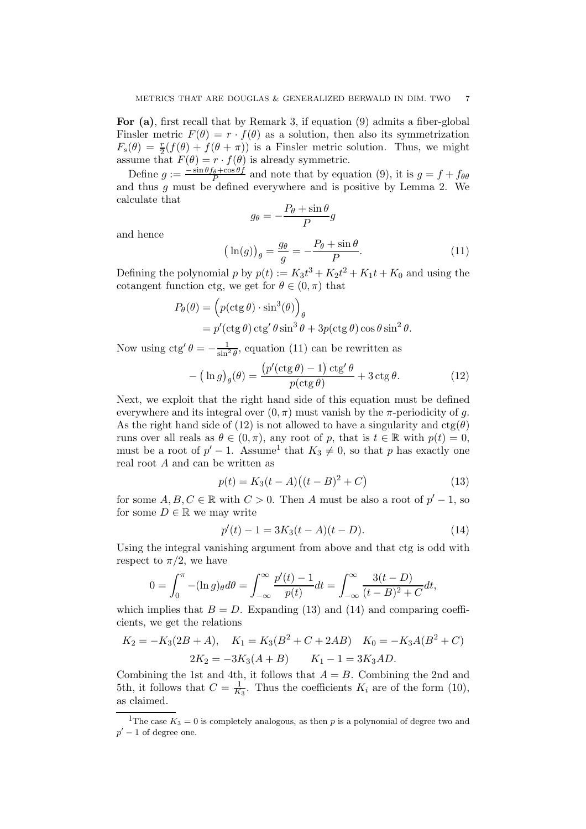For [\(a\)](#page-5-2), first recall that by Remark [3,](#page-4-2) if equation [\(9\)](#page-5-1) admits a fiber-global Finsler metric  $F(\theta) = r \cdot f(\theta)$  as a solution, then also its symmetrization  $F_s(\theta) = \frac{r}{2}(f(\theta) + f(\theta + \pi))$  is a Finsler metric solution. Thus, we might assume that  $F(\theta) = r \cdot f(\theta)$  is already symmetric.

Define  $g := \frac{-\sin\theta f_\theta + \cos\theta f}{P}$  and note that by equation [\(9\)](#page-5-1), it is  $g = f + f_{\theta\theta}$ and thus g must be defined everywhere and is positive by Lemma [2.](#page-4-3) We calculate that

$$
g_{\theta} = -\frac{P_{\theta} + \sin \theta}{P}g
$$

and hence

<span id="page-6-0"></span>
$$
\left(\ln(g)\right)_{\theta} = \frac{g_{\theta}}{g} = -\frac{P_{\theta} + \sin\theta}{P}.\tag{11}
$$

Defining the polynomial  $p$  by  $p(t) := K_3 t^3 + K_2 t^2 + K_1 t + K_0$  and using the cotangent function ctg, we get for  $\theta \in (0, \pi)$  that

$$
P_{\theta}(\theta) = \left( p(\cos \theta) \cdot \sin^3(\theta) \right)_{\theta}
$$
  
=  $p'(\cos \theta) \cos' \theta \sin^3 \theta + 3p(\cos \theta) \cos \theta \sin^2 \theta$ .

Now using  $ctg' \theta = -\frac{1}{\sin^2 \theta}$ , equation [\(11\)](#page-6-0) can be rewritten as

<span id="page-6-1"></span>
$$
-\left(\ln g\right)_{\theta}(\theta) = \frac{\left(p'(\operatorname{ctg}\theta) - 1\right)\operatorname{ctg}'\theta}{p(\operatorname{ctg}\theta)} + 3\operatorname{ctg}\theta. \tag{12}
$$

Next, we exploit that the right hand side of this equation must be defined everywhere and its integral over  $(0, \pi)$  must vanish by the  $\pi$ -periodicity of g. As the right hand side of [\(12\)](#page-6-1) is not allowed to have a singularity and  $ctg(\theta)$ runs over all reals as  $\theta \in (0, \pi)$ , any root of p, that is  $t \in \mathbb{R}$  with  $p(t) = 0$ , must be a root of  $p' - 1$  $p' - 1$ . Assume<sup>1</sup> that  $K_3 \neq 0$ , so that p has exactly one real root A and can be written as

<span id="page-6-3"></span>
$$
p(t) = K_3(t - A)((t - B)^2 + C)
$$
\n(13)

for some  $A, B, C \in \mathbb{R}$  with  $C > 0$ . Then A must be also a root of  $p' - 1$ , so for some  $D \in \mathbb{R}$  we may write

<span id="page-6-4"></span>
$$
p'(t) - 1 = 3K_3(t - A)(t - D).
$$
 (14)

Using the integral vanishing argument from above and that ctg is odd with respect to  $\pi/2$ , we have

$$
0 = \int_0^{\pi} -(\ln g)_{\theta} d\theta = \int_{-\infty}^{\infty} \frac{p'(t) - 1}{p(t)} dt = \int_{-\infty}^{\infty} \frac{3(t - D)}{(t - B)^2 + C} dt,
$$

which implies that  $B = D$ . Expanding [\(13\)](#page-6-3) and [\(14\)](#page-6-4) and comparing coefficients, we get the relations

$$
K_2 = -K_3(2B + A), \quad K_1 = K_3(B^2 + C + 2AB) \quad K_0 = -K_3A(B^2 + C)
$$

$$
2K_2 = -3K_3(A + B) \quad K_1 - 1 = 3K_3AD.
$$

Combining the 1st and 4th, it follows that  $A = B$ . Combining the 2nd and 5th, it follows that  $C = \frac{1}{K_3}$ . Thus the coefficients  $K_i$  are of the form [\(10\)](#page-5-2), as claimed.

<span id="page-6-2"></span><sup>&</sup>lt;sup>1</sup>The case  $K_3 = 0$  is completely analogous, as then p is a polynomial of degree two and  $p'-1$  of degree one.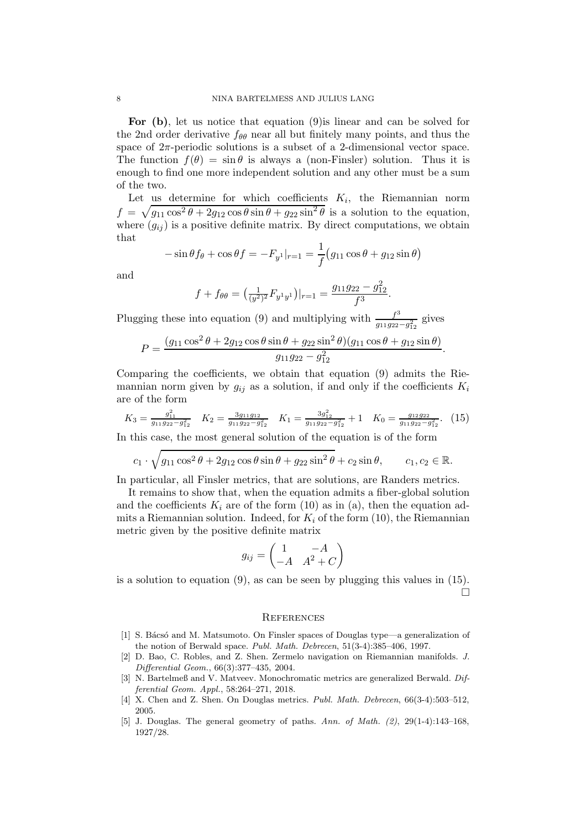For [\(b\)](#page-5-3), let us notice that equation [\(9\)](#page-5-1)is linear and can be solved for the 2nd order derivative  $f_{\theta\theta}$  near all but finitely many points, and thus the space of  $2\pi$ -periodic solutions is a subset of a 2-dimensional vector space. The function  $f(\theta) = \sin \theta$  is always a (non-Finsler) solution. Thus it is enough to find one more independent solution and any other must be a sum of the two.

Let us determine for which coefficients  $K_i$ , the Riemannian norm  $f = \sqrt{g_{11} \cos^2 \theta + 2g_{12} \cos \theta \sin \theta + g_{22} \sin^2 \theta}$  is a solution to the equation, where  $(g_{ij})$  is a positive definite matrix. By direct computations, we obtain that

$$
-\sin\theta f_{\theta} + \cos\theta f = -F_{y}I|_{r=1} = \frac{1}{f}(g_{11}\cos\theta + g_{12}\sin\theta)
$$

and

$$
f + f_{\theta\theta} = \left(\frac{1}{(y^2)^2} F_{y^1 y^1}\right)|_{r=1} = \frac{g_{11}g_{22} - g_{12}^2}{f^3}.
$$

Plugging these into equation [\(9\)](#page-5-1) and multiplying with  $\frac{f^3}{g_{13}g_{23}}$  $\frac{f}{g_{11}g_{22}-g_{12}^2}$  gives

$$
P = \frac{(g_{11}\cos^2\theta + 2g_{12}\cos\theta\sin\theta + g_{22}\sin^2\theta)(g_{11}\cos\theta + g_{12}\sin\theta)}{g_{11}g_{22} - g_{12}^2}.
$$

Comparing the coefficients, we obtain that equation [\(9\)](#page-5-1) admits the Riemannian norm given by  $g_{ij}$  as a solution, if and only if the coefficients  $K_i$ are of the form

<span id="page-7-5"></span>
$$
K_3 = \frac{g_{11}^2}{g_{11}g_{22} - g_{12}^2} \quad K_2 = \frac{3g_{11}g_{12}}{g_{11}g_{22} - g_{12}^2} \quad K_1 = \frac{3g_{12}^2}{g_{11}g_{22} - g_{12}^2} + 1 \quad K_0 = \frac{g_{12}g_{22}}{g_{11}g_{22} - g_{12}^2}.
$$
 (15)

In this case, the most general solution of the equation is of the form

$$
c_1 \cdot \sqrt{g_{11}\cos^2\theta + 2g_{12}\cos\theta\sin\theta + g_{22}\sin^2\theta} + c_2\sin\theta, \qquad c_1, c_2 \in \mathbb{R}.
$$

In particular, all Finsler metrics, that are solutions, are Randers metrics.

It remains to show that, when the equation admits a fiber-global solution and the coefficients  $K_i$  are of the form [\(10\)](#page-5-2) as in (a), then the equation admits a Riemannian solution. Indeed, for  $K_i$  of the form [\(10\)](#page-5-2), the Riemannian metric given by the positive definite matrix

$$
g_{ij} = \begin{pmatrix} 1 & -A \\ -A & A^2 + C \end{pmatrix}
$$

is a solution to equation  $(9)$ , as can be seen by plugging this values in  $(15)$ .  $\Box$ 

#### **REFERENCES**

- <span id="page-7-2"></span>[1] S. Bácsó and M. Matsumoto. On Finsler spaces of Douglas type—a generalization of the notion of Berwald space. Publ. Math. Debrecen, 51(3-4):385–406, 1997.
- <span id="page-7-4"></span>[2] D. Bao, C. Robles, and Z. Shen. Zermelo navigation on Riemannian manifolds. J. Differential Geom., 66(3):377–435, 2004.
- <span id="page-7-3"></span>[3] N. Bartelmeß and V. Matveev. Monochromatic metrics are generalized Berwald. Differential Geom. Appl., 58:264–271, 2018.
- <span id="page-7-1"></span>[4] X. Chen and Z. Shen. On Douglas metrics. Publ. Math. Debrecen, 66(3-4):503-512, 2005.
- <span id="page-7-0"></span>[5] J. Douglas. The general geometry of paths. Ann. of Math.  $(2)$ ,  $29(1-4):143-168$ . 1927/28.